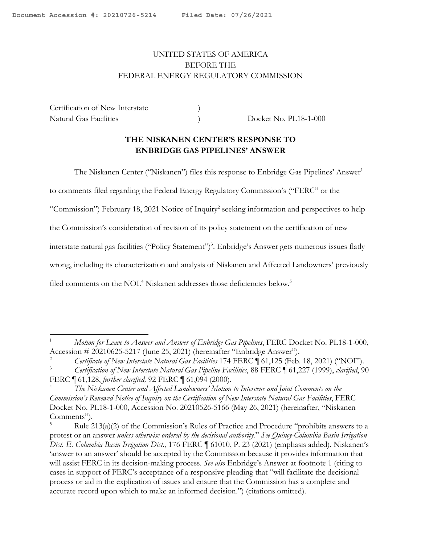# <span id="page-0-0"></span>UNITED STATES OF AMERICA BEFORE THE FEDERAL ENERGY REGULATORY COMMISSION

Certification of New Interstate  $)$ Natural Gas Facilities ) Docket No. PL18-1-000

### **THE NISKANEN CENTER'S RESPONSE TO ENBRIDGE GAS PIPELINES' ANSWER**

The Niskanen Center ("Niskanen") files this response to Enbridge Gas Pipelines' Answer<sup>1</sup>

to comments filed regarding the Federal Energy Regulatory Commission's ("FERC" or the

"Commission") February 18, 2021 Notice of Inquiry<sup>2</sup> seeking information and perspectives to help

the Commission's consideration of revision of its policy statement on the certification of new

interstate natural gas facilities ("Policy Statement")<sup>3</sup>. Enbridge's Answer gets numerous issues flatly

wrong, including its characterization and analysis of Niskanen and Affected Landowners' previously

filed comments on the NOI.<sup>4</sup> Niskanen addresses those deficiencies below.<sup>5</sup>

<sup>1</sup> *Motion for Leave to Answer and Answer of Enbridge Gas Pipelines*, FERC Docket No. PL18-1-000,

Accession # 20210625-5217 (June 25, 2021) (hereinafter "Enbridge Answer").<br><sup>2</sup> *Certificate of New Interstate Natural Gas Facilities* 174 FERC ¶ 61,125 (Feb. 18, 2021) ("NOI").

<sup>3</sup> *Certification of New Interstate Natural Gas Pipeline Facilities*, 88 FERC ¶ 61,227 (1999), *clarified*, 90 FERC ¶ 61,128, *further clarified,* 92 FERC ¶ 61,094 (2000).

<sup>4</sup> *The Niskanen Center and Affected Landowners' Motion to Intervene and Joint Comments on the Commission's Renewed Notice of Inquiry on the Certification of New Interstate Natural Gas Facilities*, FERC Docket No. PL18-1-000, Accession No. 20210526-5166 (May 26, 2021) (hereinafter, "Niskanen Comments").

Rule  $213(a)(2)$  of the Commission's Rules of Practice and Procedure "prohibits answers to a protest or an answer *unless otherwise ordered by the decisional authority.*" *See Quincy-Columbia Basin Irrigation Dist. E. Columbia Basin Irrigation Dist*., 176 FERC ¶ 61010, P. 23 (2021) (emphasis added). Niskanen's 'answer to an answer' should be accepted by the Commission because it provides information that will assist FERC in its decision-making process. *See also* Enbridge's Answer at footnote 1 (citing to cases in support of FERC's acceptance of a responsive pleading that "will facilitate the decisional process or aid in the explication of issues and ensure that the Commission has a complete and accurate record upon which to make an informed decision.") (citations omitted).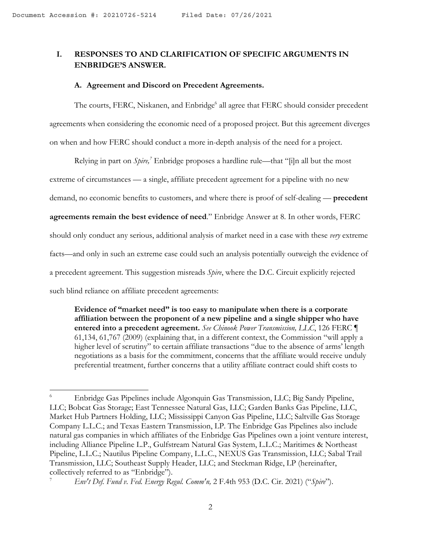## **I. RESPONSES TO AND CLARIFICATION OF SPECIFIC ARGUMENTS IN ENBRIDGE'S ANSWER.**

#### **A. Agreement and Discord on Precedent Agreements.**

The courts, FERC, Niskanen, and Enbridge<sup>6</sup> all agree that FERC should consider precedent agreements when considering the economic need of a proposed project. But this agreement diverges on when and how FERC should conduct a more in-depth analysis of the need for a project.

Relying in part on *Spire*,<sup>7</sup> Enbridge proposes a hardline rule—that "[i]n all but the most extreme of circumstances — a single, affiliate precedent agreement for a pipeline with no new demand, no economic benefits to customers, and where there is proof of self-dealing — **precedent agreements remain the best evidence of need**." Enbridge Answer at 8. In other words, FERC should only conduct any serious, additional analysis of market need in a case with these *very* extreme facts—and only in such an extreme case could such an analysis potentially outweigh the evidence of a precedent agreement. This suggestion misreads *Spire*, where the D.C. Circuit explicitly rejected such blind reliance on affiliate precedent agreements:

**Evidence of "market need" is too easy to manipulate when there is a corporate affiliation between the proponent of a new pipeline and a single shipper who have entered into a precedent agreement.** *See Chinook Power Transmission, LLC*, 126 FERC ¶ 61,134, 61,767 (2009) (explaining that, in a different context, the Commission "will apply a higher level of scrutiny" to certain affiliate transactions "due to the absence of arms' length negotiations as a basis for the commitment, concerns that the affiliate would receive unduly preferential treatment, further concerns that a utility affiliate contract could shift costs to

<sup>6</sup> Enbridge Gas Pipelines include Algonquin Gas Transmission, LLC; Big Sandy Pipeline, LLC; Bobcat Gas Storage; East Tennessee Natural Gas, LLC; Garden Banks Gas Pipeline, LLC, Market Hub Partners Holding, LLC; Mississippi Canyon Gas Pipeline, LLC; Saltville Gas Storage Company L.L.C.; and Texas Eastern Transmission, LP. The Enbridge Gas Pipelines also include natural gas companies in which affiliates of the Enbridge Gas Pipelines own a joint venture interest, including Alliance Pipeline L.P., Gulfstream Natural Gas System, L.L.C.; Maritimes & Northeast Pipeline, L.L.C.; Nautilus Pipeline Company, L.L.C., NEXUS Gas Transmission, LLC; Sabal Trail Transmission, LLC; Southeast Supply Header, LLC; and Steckman Ridge, LP (hereinafter, collectively referred to as "Enbridge"). 7 *Env't Def. Fund v. Fed. Energy Regul. Comm'n,* 2 F.4th 953 (D.C. Cir. 2021) ("*Spire*").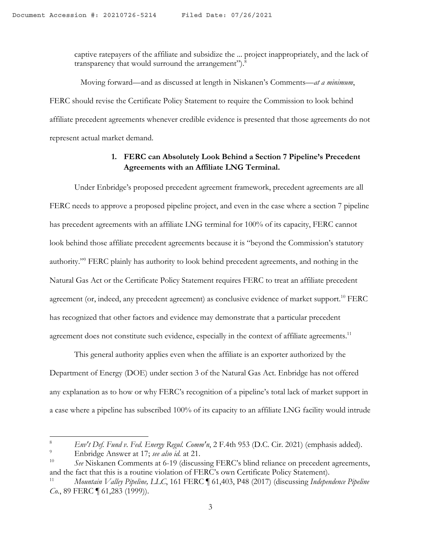captive ratepayers of the affiliate and subsidize the ... project inappropriately, and the lack of transparency that would surround the arrangement").<sup>8</sup>

 Moving forward—and as discussed at length in Niskanen's Comments—*at a minimum*, FERC should revise the Certificate Policy Statement to require the Commission to look behind affiliate precedent agreements whenever credible evidence is presented that those agreements do not represent actual market demand.

### **1. FERC can Absolutely Look Behind a Section 7 Pipeline's Precedent Agreements with an Affiliate LNG Terminal.**

Under Enbridge's proposed precedent agreement framework, precedent agreements are all FERC needs to approve a proposed pipeline project, and even in the case where a section 7 pipeline has precedent agreements with an affiliate LNG terminal for 100% of its capacity, FERC cannot look behind those affiliate precedent agreements because it is "beyond the Commission's statutory authority."9 FERC plainly has authority to look behind precedent agreements, and nothing in the Natural Gas Act or the Certificate Policy Statement requires FERC to treat an affiliate precedent agreement (or, indeed, any precedent agreement) as conclusive evidence of market support.<sup>10</sup> FERC has recognized that other factors and evidence may demonstrate that a particular precedent agreement does not constitute such evidence, especially in the context of affiliate agreements.<sup>11</sup>

This general authority applies even when the affiliate is an exporter authorized by the Department of Energy (DOE) under section 3 of the Natural Gas Act. Enbridge has not offered any explanation as to how or why FERC's recognition of a pipeline's total lack of market support in a case where a pipeline has subscribed 100% of its capacity to an affiliate LNG facility would intrude

<sup>8</sup> *Env't Def. Fund v. Fed. Energy Regul. Comm'n*, 2 F.4th 953 (D.C. Cir. 2021) (emphasis added).

<sup>9</sup> Enbridge Answer at 17; *see also id.* at 21.

<sup>10</sup> *See* Niskanen Comments at 6-19 (discussing FERC's blind reliance on precedent agreements, and the fact that this is a routine violation of FERC's own Certificate Policy Statement). 11 *Mountain Valley Pipeline, LLC*, 161 FERC ¶ 61,403, P48 (2017) (discussing *Independence Pipeline* 

*Co.*, 89 FERC  $\llbracket$  61,283 (1999)).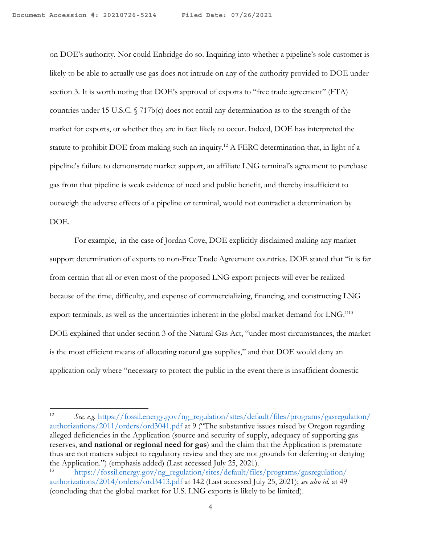on DOE's authority. Nor could Enbridge do so. Inquiring into whether a pipeline's sole customer is likely to be able to actually use gas does not intrude on any of the authority provided to DOE under section 3. It is worth noting that DOE's approval of exports to "free trade agreement" (FTA) countries under 15 U.S.C. § 717b(c) does not entail any determination as to the strength of the market for exports, or whether they are in fact likely to occur. Indeed, DOE has interpreted the statute to prohibit DOE from making such an inquiry.<sup>12</sup> A FERC determination that, in light of a pipeline's failure to demonstrate market support, an affiliate LNG terminal's agreement to purchase gas from that pipeline is weak evidence of need and public benefit, and thereby insufficient to outweigh the adverse effects of a pipeline or terminal, would not contradict a determination by DOE.

For example, in the case of Jordan Cove, DOE explicitly disclaimed making any market support determination of exports to non-Free Trade Agreement countries. DOE stated that "it is far from certain that all or even most of the proposed LNG export projects will ever be realized because of the time, difficulty, and expense of commercializing, financing, and constructing LNG export terminals, as well as the uncertainties inherent in the global market demand for LNG."13 DOE explained that under section 3 of the Natural Gas Act, "under most circumstances, the market is the most efficient means of allocating natural gas supplies," and that DOE would deny an application only where "necessary to protect the public in the event there is insufficient domestic

<sup>12</sup> *See, e.g.* https://fossil.energy.gov/ng\_regulation/sites/default/files/programs/gasregulation/ authorizations/2011/orders/ord3041.pdf at 9 ("The substantive issues raised by Oregon regarding alleged deficiencies in the Application (source and security of supply, adequacy of supporting gas reserves, **and national or regional need for gas**) and the claim that the Application is premature thus are not matters subject to regulatory review and they are not grounds for deferring or denying the Application.") (emphasis added) (Last accessed July 25, 2021).

<sup>13</sup> https://fossil.energy.gov/ng\_regulation/sites/default/files/programs/gasregulation/ authorizations/2014/orders/ord3413.pdf at 142 (Last accessed July 25, 2021); *see also id.* at 49 (concluding that the global market for U.S. LNG exports is likely to be limited).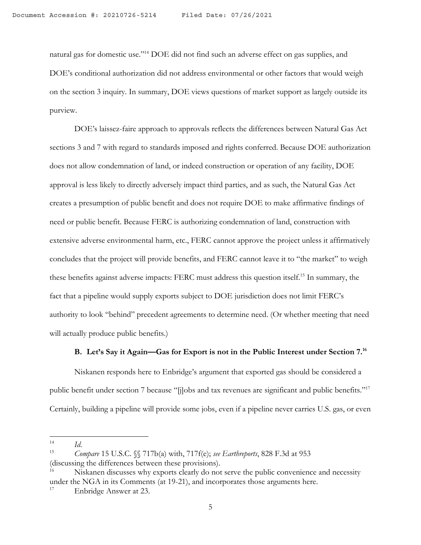natural gas for domestic use."14 DOE did not find such an adverse effect on gas supplies, and DOE's conditional authorization did not address environmental or other factors that would weigh on the section 3 inquiry. In summary, DOE views questions of market support as largely outside its purview.

DOE's laissez-faire approach to approvals reflects the differences between Natural Gas Act sections 3 and 7 with regard to standards imposed and rights conferred. Because DOE authorization does not allow condemnation of land, or indeed construction or operation of any facility, DOE approval is less likely to directly adversely impact third parties, and as such, the Natural Gas Act creates a presumption of public benefit and does not require DOE to make affirmative findings of need or public benefit. Because FERC is authorizing condemnation of land, construction with extensive adverse environmental harm, etc., FERC cannot approve the project unless it affirmatively concludes that the project will provide benefits, and FERC cannot leave it to "the market" to weigh these benefits against adverse impacts: FERC must address this question itself.15 In summary, the fact that a pipeline would supply exports subject to DOE jurisdiction does not limit FERC's authority to look "behind" precedent agreements to determine need. (Or whether meeting that need will actually produce public benefits.)

### **B. Let's Say it Again—Gas for Export is not in the Public Interest under Section 7.16**

Niskanen responds here to Enbridge's argument that exported gas should be considered a public benefit under section 7 because "[j]obs and tax revenues are significant and public benefits."<sup>17</sup> Certainly, building a pipeline will provide some jobs, even if a pipeline never carries U.S. gas, or even

<sup>14</sup> *Id*. 15 *Compare* 15 U.S.C. §§ 717b(a) with, 717f(e); *see Earthreports*, 828 F.3d at 953 (discussing the differences between these provisions).

<sup>16</sup> Niskanen discusses why exports clearly do not serve the public convenience and necessity under the NGA in its Comments (at 19-21), and incorporates those arguments here.

<sup>&</sup>lt;sup>17</sup> Enbridge Answer at 23.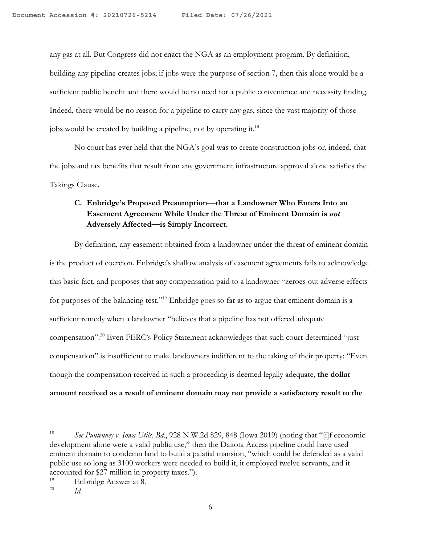any gas at all. But Congress did not enact the NGA as an employment program. By definition, building any pipeline creates jobs; if jobs were the purpose of section 7, then this alone would be a sufficient public benefit and there would be no need for a public convenience and necessity finding. Indeed, there would be no reason for a pipeline to carry any gas, since the vast majority of those jobs would be created by building a pipeline, not by operating it.<sup>18</sup>

No court has ever held that the NGA's goal was to create construction jobs or, indeed, that the jobs and tax benefits that result from any government infrastructure approval alone satisfies the Takings Clause.

# **C. Enbridge's Proposed Presumption—that a Landowner Who Enters Into an Easement Agreement While Under the Threat of Eminent Domain is** *not* **Adversely Affected—is Simply Incorrect.**

By definition, any easement obtained from a landowner under the threat of eminent domain is the product of coercion. Enbridge's shallow analysis of easement agreements fails to acknowledge this basic fact, and proposes that any compensation paid to a landowner "zeroes out adverse effects for purposes of the balancing test."<sup>19</sup> Enbridge goes so far as to argue that eminent domain is a sufficient remedy when a landowner "believes that a pipeline has not offered adequate compensation". <sup>20</sup> Even FERC's Policy Statement acknowledges that such court-determined "just compensation" is insufficient to make landowners indifferent to the taking of their property: "Even though the compensation received in such a proceeding is deemed legally adequate, **the dollar amount received as a result of eminent domain may not provide a satisfactory result to the** 

<sup>18</sup> *See Puntenney v. Iowa Utils. Bd*., 928 N.W.2d 829, 848 (Iowa 2019) (noting that "[i]f economic development alone were a valid public use," then the Dakota Access pipeline could have used eminent domain to condemn land to build a palatial mansion, "which could be defended as a valid public use so long as 3100 workers were needed to build it, it employed twelve servants, and it accounted for \$27 million in property taxes.").

 $\frac{19}{20}$  Enbridge Answer at 8.

<sup>20</sup> *Id.*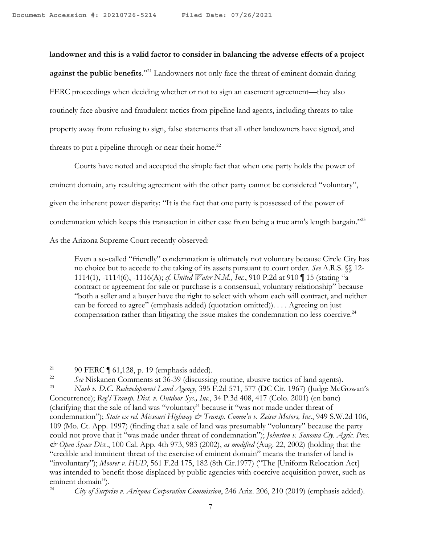**landowner and this is a valid factor to consider in balancing the adverse effects of a project against the public benefits**."21 Landowners not only face the threat of eminent domain during FERC proceedings when deciding whether or not to sign an easement agreement—they also routinely face abusive and fraudulent tactics from pipeline land agents, including threats to take property away from refusing to sign, false statements that all other landowners have signed, and threats to put a pipeline through or near their home. $22$ 

Courts have noted and accepted the simple fact that when one party holds the power of eminent domain, any resulting agreement with the other party cannot be considered "voluntary", given the inherent power disparity: "It is the fact that one party is possessed of the power of condemnation which keeps this transaction in either case from being a true arm's length bargain."23 As the Arizona Supreme Court recently observed:

Even a so-called "friendly" condemnation is ultimately not voluntary because Circle City has no choice but to accede to the taking of its assets pursuant to court order. *See* A.R.S. §§ 12- 1114(1), -1114(6), -1116(A); *cf. United Water N.M., Inc.*, 910 P.2d at 910 ¶ 15 (stating "a contract or agreement for sale or purchase is a consensual, voluntary relationship" because "both a seller and a buyer have the right to select with whom each will contract, and neither can be forced to agree" (emphasis added) (quotation omitted)). . . . Agreeing on just compensation rather than litigating the issue makes the condemnation no less coercive.<sup>24</sup>

<sup>&</sup>lt;sup>21</sup> 90 FERC  $\parallel$  61,128, p. 19 (emphasis added).

<sup>&</sup>lt;sup>22</sup> *See* Niskanen Comments at 36-39 (discussing routine, abusive tactics of land agents).<br><sup>23</sup> Nach n. D.C. Redevelopment Land Agency, 395 E.2d 571, 577 (D.C. Cir. 1967) (Judge McC

<sup>23</sup> *Nash v. D.C. Redevelopment Land Agency*, 395 F.2d 571, 577 (DC Cir. 1967) (Judge McGowan's Concurrence); *Reg'l Transp. Dist. v. Outdoor Sys., Inc*., 34 P.3d 408, 417 (Colo. 2001) (en banc) (clarifying that the sale of land was "voluntary" because it "was not made under threat of condemnation"); *State ex rel. Missouri Highway & Transp. Comm'n v. Zeiser Motors, Inc*., 949 S.W.2d 106, 109 (Mo. Ct. App. 1997) (finding that a sale of land was presumably "voluntary" because the party could not prove that it "was made under threat of condemnation"); *Johnston v. Sonoma Cty. Agric. Pres. & Open Space Dis*t., 100 Cal. App. 4th 973, 983 (2002), *as modified* (Aug. 22, 2002) (holding that the "credible and imminent threat of the exercise of eminent domain" means the transfer of land is "involuntary"); *Moorer v. HUD*, 561 F.2d 175, 182 (8th Cir.1977) ("The [Uniform Relocation Act] was intended to benefit those displaced by public agencies with coercive acquisition power, such as eminent domain").<br> $^{24}$  City of Surba

<sup>24</sup> *City of Surprise v. Arizona Corporation Commission*, 246 Ariz. 206, 210 (2019) (emphasis added).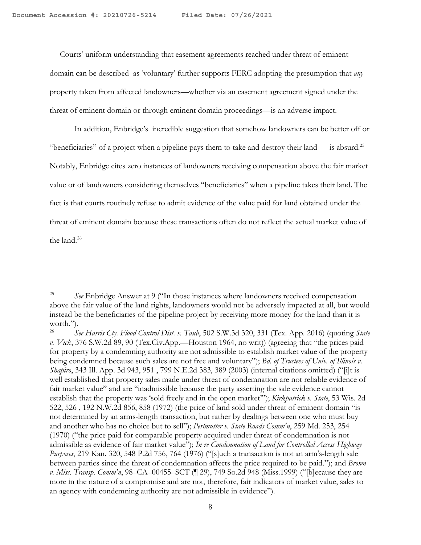Courts' uniform understanding that easement agreements reached under threat of eminent domain can be described as 'voluntary' further supports FERC adopting the presumption that *any* property taken from affected landowners—whether via an easement agreement signed under the threat of eminent domain or through eminent domain proceedings—is an adverse impact.

In addition, Enbridge's incredible suggestion that somehow landowners can be better off or "beneficiaries" of a project when a pipeline pays them to take and destroy their land is absurd.<sup>25</sup> Notably, Enbridge cites zero instances of landowners receiving compensation above the fair market value or of landowners considering themselves "beneficiaries" when a pipeline takes their land. The fact is that courts routinely refuse to admit evidence of the value paid for land obtained under the threat of eminent domain because these transactions often do not reflect the actual market value of the land<sup>26</sup>

<sup>25</sup> *See* Enbridge Answer at 9 ("In those instances where landowners received compensation above the fair value of the land rights, landowners would not be adversely impacted at all, but would instead be the beneficiaries of the pipeline project by receiving more money for the land than it is worth.").

<sup>26</sup> *See Harris Cty. Flood Control Dist. v. Taub*, 502 S.W.3d 320, 331 (Tex. App. 2016) (quoting *State v. Vick*, 376 S.W.2d 89, 90 (Tex.Civ.App.—Houston 1964, no writ)) (agreeing that "the prices paid for property by a condemning authority are not admissible to establish market value of the property being condemned because such sales are not free and voluntary"); *Bd. of Trustees of Univ. of Illinois v. Shapiro*, 343 Ill. App. 3d 943, 951 , 799 N.E.2d 383, 389 (2003) (internal citations omitted) ("[i]t is well established that property sales made under threat of condemnation are not reliable evidence of fair market value" and are "inadmissible because the party asserting the sale evidence cannot establish that the property was 'sold freely and in the open market'"); *Kirkpatrick v. State*, 53 Wis. 2d 522, 526 , 192 N.W.2d 856, 858 (1972) (the price of land sold under threat of eminent domain "is not determined by an arms-length transaction, but rather by dealings between one who must buy and another who has no choice but to sell"); *Perlmutter v. State Roads Comm'n*, 259 Md. 253, 254 (1970) ("the price paid for comparable property acquired under threat of condemnation is not admissible as evidence of fair market value"); *In re Condemnation of Land for Controlled Access Highway Purposes*, 219 Kan. 320, 548 P.2d 756, 764 (1976) ("[s]uch a transaction is not an arm's-length sale between parties since the threat of condemnation affects the price required to be paid."); and *Brown v. Miss. Transp. Comm'n*, 98–CA–00455–SCT (¶ 29), 749 So.2d 948 (Miss.1999) ("[b]ecause they are more in the nature of a compromise and are not, therefore, fair indicators of market value, sales to an agency with condemning authority are not admissible in evidence").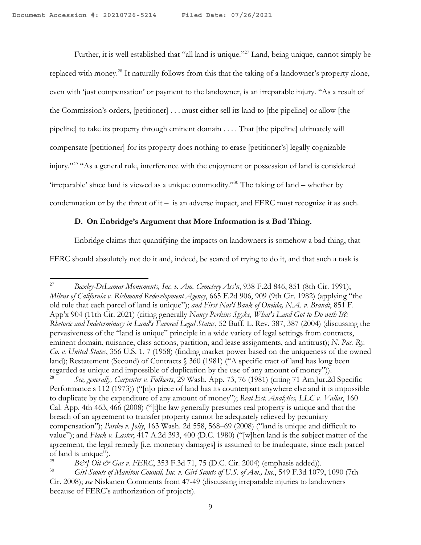Further, it is well established that "all land is unique."27 Land, being unique, cannot simply be replaced with money.28 It naturally follows from this that the taking of a landowner's property alone, even with 'just compensation' or payment to the landowner, is an irreparable injury. "As a result of the Commission's orders, [petitioner] . . . must either sell its land to [the pipeline] or allow [the pipeline] to take its property through eminent domain . . . . That [the pipeline] ultimately will compensate [petitioner] for its property does nothing to erase [petitioner's] legally cognizable injury."29 "As a general rule, interference with the enjoyment or possession of land is considered 'irreparable' since land is viewed as a unique commodity."30 The taking of land – whether by condemnation or by the threat of  $it - is$  an adverse impact, and FERC must recognize it as such.

### **D. On Enbridge's Argument that More Information is a Bad Thing.**

Enbridge claims that quantifying the impacts on landowners is somehow a bad thing, that

FERC should absolutely not do it and, indeed, be scared of trying to do it, and that such a task is

<sup>27</sup> *Baxley-DeLamar Monuments, Inc. v. Am. Cemetery Ass'n*, 938 F.2d 846, 851 (8th Cir. 1991); *Milens of California v. Richmond Redevelopment Agency*, 665 F.2d 906, 909 (9th Cir. 1982) (applying "the old rule that each parcel of land is unique"); *and First Nat'l Bank of Oneida, N.A. v. Brandt*, 851 F. App'x 904 (11th Cir. 2021) (citing generally *Nancy Perkins Spyke, What's Land Got to Do with It?: Rhetoric and Indeterminacy in Land's Favored Legal Status*, 52 Buff. L. Rev. 387, 387 (2004) (discussing the pervasiveness of the "land is unique" principle in a wide variety of legal settings from contracts, eminent domain, nuisance, class actions, partition, and lease assignments, and antitrust); *N. Pac. Ry. Co. v. United States*, 356 U.S. 1, 7 (1958) (finding market power based on the uniqueness of the owned land); Restatement (Second) of Contracts § 360 (1981) ("A specific tract of land has long been regarded as unique and impossible of duplication by the use of any amount of money")).

<sup>28</sup> *See, generally, Carpenter v. Folkerts*, 29 Wash. App. 73, 76 (1981) (citing 71 Am.Jur.2d Specific Performance s 112 (1973)) ("[n]o piece of land has its counterpart anywhere else and it is impossible to duplicate by the expenditure of any amount of money"); *Real Est. Analytics, LLC v. Vallas*, 160 Cal. App. 4th 463, 466 (2008) ("[t]he law generally presumes real property is unique and that the breach of an agreement to transfer property cannot be adequately relieved by pecuniary compensation"); *Pardee v. Jolly*, 163 Wash. 2d 558, 568–69 (2008) ("land is unique and difficult to value"); and *Flack v. Laster*, 417 A.2d 393, 400 (D.C. 1980) ("[w]hen land is the subject matter of the agreement, the legal remedy [i.e. monetary damages] is assumed to be inadequate, since each parcel of land is unique").<br>  $R\phi \approx I$  Oil  $\phi \approx$ 

<sup>&</sup>lt;sup>29</sup> *B*&J Oil & Gas v. FERC, 353 F.3d 71, 75 (D.C. Cir. 2004) (emphasis added)).

<sup>30</sup> *Girl Scouts of Manitou Council, Inc. v. Girl Scouts of U.S. of Am., Inc.*, 549 F.3d 1079, 1090 (7th Cir. 2008); *see* Niskanen Comments from 47-49 (discussing irreparable injuries to landowners because of FERC's authorization of projects).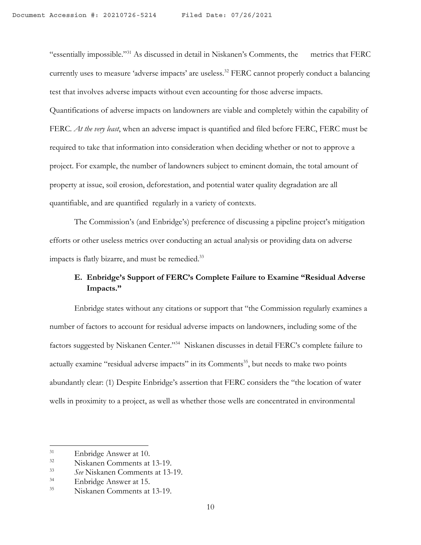"essentially impossible."31 As discussed in detail in Niskanen's Comments, the metrics that FERC currently uses to measure 'adverse impacts' are useless.<sup>32</sup> FERC cannot properly conduct a balancing test that involves adverse impacts without even accounting for those adverse impacts.

Quantifications of adverse impacts on landowners are viable and completely within the capability of FERC. *At the very least*, when an adverse impact is quantified and filed before FERC, FERC must be required to take that information into consideration when deciding whether or not to approve a project. For example, the number of landowners subject to eminent domain, the total amount of property at issue, soil erosion, deforestation, and potential water quality degradation are all quantifiable, and are quantified regularly in a variety of contexts.

The Commission's (and Enbridge's) preference of discussing a pipeline project's mitigation efforts or other useless metrics over conducting an actual analysis or providing data on adverse impacts is flatly bizarre, and must be remedied.<sup>33</sup>

## **E. Enbridge's Support of FERC's Complete Failure to Examine "Residual Adverse Impacts."**

Enbridge states without any citations or support that "the Commission regularly examines a number of factors to account for residual adverse impacts on landowners, including some of the factors suggested by Niskanen Center."<sup>34</sup> Niskanen discusses in detail FERC's complete failure to actually examine "residual adverse impacts" in its Comments<sup>35</sup>, but needs to make two points abundantly clear: (1) Despite Enbridge's assertion that FERC considers the "the location of water wells in proximity to a project, as well as whether those wells are concentrated in environmental

 $31$  Enbridge Answer at 10.<br> $32$  Niskapen Comments at

 $\frac{32}{33}$  Niskanen Comments at 13-19.

<sup>33</sup> *See* Niskanen Comments at 13-19.

 $^{34}$  Enbridge Answer at 15.

<sup>35</sup> Niskanen Comments at 13-19.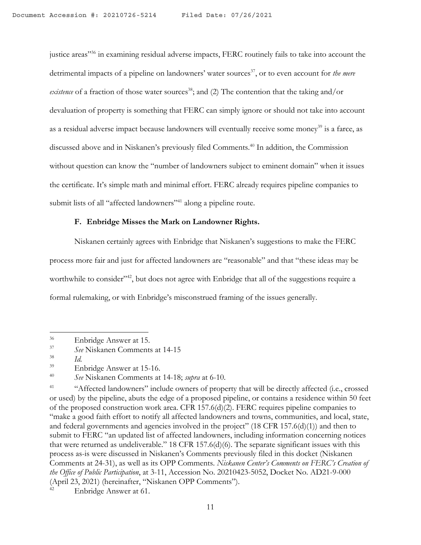justice areas"<sup>36</sup> in examining residual adverse impacts, FERC routinely fails to take into account the detrimental impacts of a pipeline on landowners' water sources<sup>37</sup>, or to even account for *the mere existence* of a fraction of those water sources<sup>38</sup>; and (2) The contention that the taking and/or devaluation of property is something that FERC can simply ignore or should not take into account as a residual adverse impact because landowners will eventually receive some money<sup>39</sup> is a farce, as discussed above and in Niskanen's previously filed Comments.<sup>40</sup> In addition, the Commission without question can know the "number of landowners subject to eminent domain" when it issues the certificate. It's simple math and minimal effort. FERC already requires pipeline companies to submit lists of all "affected landowners"<sup>41</sup> along a pipeline route.

#### **F. Enbridge Misses the Mark on Landowner Rights.**

Niskanen certainly agrees with Enbridge that Niskanen's suggestions to make the FERC process more fair and just for affected landowners are "reasonable" and that "these ideas may be worthwhile to consider<sup>742</sup>, but does not agree with Enbridge that all of the suggestions require a formal rulemaking, or with Enbridge's misconstrued framing of the issues generally.

 $rac{36}{37}$  Enbridge Answer at 15.

<sup>37</sup> *See* Niskanen Comments at 14-15

 $rac{38}{39}$  *Id.* 

 $^{39}$  Enbridge Answer at 15-16.

<sup>40</sup> *See* Niskanen Comments at 14-18; *supra* at 6-10.

<sup>&</sup>lt;sup>41</sup> "Affected landowners" include owners of property that will be directly affected (i.e., crossed or used) by the pipeline, abuts the edge of a proposed pipeline, or contains a residence within 50 feet of the proposed construction work area. CFR 157.6(d)(2). FERC requires pipeline companies to "make a good faith effort to notify all affected landowners and towns, communities, and local, state, and federal governments and agencies involved in the project" (18 CFR 157.6(d)(1)) and then to submit to FERC "an updated list of affected landowners, including information concerning notices that were returned as undeliverable." 18 CFR 157.6(d)(6). The separate significant issues with this process as-is were discussed in Niskanen's Comments previously filed in this docket (Niskanen Comments at 24-31), as well as its OPP Comments. *Niskanen Center's Comments on FERC's Creation of the Office of Public Participation*, at 3-11, Accession No. 20210423-5052, Docket No. AD21-9-000 (April 23, 2021) (hereinafter, "Niskanen OPP Comments").

Enbridge Answer at 61.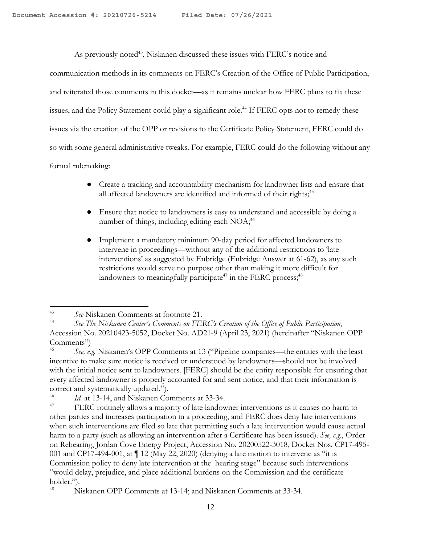As previously noted<sup>43</sup>, Niskanen discussed these issues with FERC's notice and

communication methods in its comments on FERC's Creation of the Office of Public Participation, and reiterated those comments in this docket—as it remains unclear how FERC plans to fix these issues, and the Policy Statement could play a significant role. <sup>44</sup> If FERC opts not to remedy these issues via the creation of the OPP or revisions to the Certificate Policy Statement, FERC could do so with some general administrative tweaks. For example, FERC could do the following without any formal rulemaking:

- Create a tracking and accountability mechanism for landowner lists and ensure that all affected landowners are identified and informed of their rights;<sup>45</sup>
- Ensure that notice to landowners is easy to understand and accessible by doing a number of things, including editing each  $NOA<sub>i</sub><sup>46</sup>$
- Implement a mandatory minimum 90-day period for affected landowners to intervene in proceedings—without any of the additional restrictions to 'late interventions' as suggested by Enbridge (Enbridge Answer at 61-62), as any such restrictions would serve no purpose other than making it more difficult for landowners to meaningfully participate<sup>47</sup> in the FERC process;<sup>48</sup>

<sup>43</sup> *See* Niskanen Comments at footnote 21.

<sup>44</sup> *See The Niskanen Center's Comments on FERC's Creation of the Office of Public Participation*, Accession No. 20210423-5052, Docket No. AD21-9 (April 23, 2021) (hereinafter "Niskanen OPP Comments")

<sup>45</sup> *See, e.g.* Niskanen's OPP Comments at 13 ("Pipeline companies—the entities with the least incentive to make sure notice is received or understood by landowners—should not be involved with the initial notice sent to landowners. [FERC] should be the entity responsible for ensuring that every affected landowner is properly accounted for and sent notice, and that their information is correct and systematically updated.").

 $\frac{46}{47}$  *Id.* at 13-14, and Niskanen Comments at 33-34.

FERC routinely allows a majority of late landowner interventions as it causes no harm to other parties and increases participation in a proceeding, and FERC does deny late interventions when such interventions are filed so late that permitting such a late intervention would cause actual harm to a party (such as allowing an intervention after a Certificate has been issued). *See, e.g.*, Order on Rehearing, Jordan Cove Energy Project, Accession No. 20200522-3018, Docket Nos. CP17-495- 001 and CP17-494-001, at  $\P$  12 (May 22, 2020) (denying a late motion to intervene as "it is Commission policy to deny late intervention at the hearing stage" because such interventions "would delay, prejudice, and place additional burdens on the Commission and the certificate holder.").

<sup>48</sup> Niskanen OPP Comments at 13-14; and Niskanen Comments at 33-34.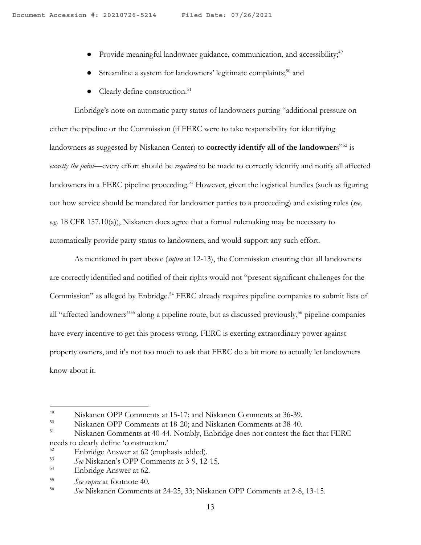- Provide meaningful landowner guidance, communication, and accessibility;<sup>49</sup>
- Streamline a system for landowners' legitimate complaints;<sup>50</sup> and
- $\bullet$  Clearly define construction.<sup>51</sup>

Enbridge's note on automatic party status of landowners putting "additional pressure on either the pipeline or the Commission (if FERC were to take responsibility for identifying landowners as suggested by Niskanen Center) to **correctly identify all of the landowner**s<sup>"52</sup> is *exactly the point*—every effort should be *required* to be made to correctly identify and notify all affected landowners in a FERC pipeline proceeding. *<sup>53</sup>* However, given the logistical hurdles (such as figuring out how service should be mandated for landowner parties to a proceeding) and existing rules (*see, e.g.* 18 CFR 157.10(a)), Niskanen does agree that a formal rulemaking may be necessary to automatically provide party status to landowners, and would support any such effort.

As mentioned in part above (*supra* at 12-13), the Commission ensuring that all landowners are correctly identified and notified of their rights would not "present significant challenges for the Commission" as alleged by Enbridge.<sup>54</sup> FERC already requires pipeline companies to submit lists of all "affected landowners"<sup>55</sup> along a pipeline route, but as discussed previously,<sup>56</sup> pipeline companies have every incentive to get this process wrong. FERC is exerting extraordinary power against property owners, and it's not too much to ask that FERC do a bit more to actually let landowners know about it.

<sup>&</sup>lt;sup>49</sup> Niskanen OPP Comments at 15-17; and Niskanen Comments at 36-39.<br><sup>50</sup> Niskanen OPP Comments at 18.201 and Niskanen Comments at <sup>28.40</sup>.

 $^{50}$  Niskanen OPP Comments at 18-20; and Niskanen Comments at 38-40.

Niskanen Comments at 40-44. Notably, Enbridge does not contest the fact that FERC needs to clearly define 'construction.'<br>
Enheidse Agency et 62 (graph

<sup>&</sup>lt;sup>52</sup> Enbridge Answer at 62 (emphasis added).<br> $53$  Ese Niskanon's OBB Commonts at 3.0-12

<sup>53</sup> *See* Niskanen's OPP Comments at 3-9, 12-15.

<sup>54</sup> Enbridge Answer at 62.

<sup>55</sup> *See supra* at footnote 40. 56 *See* Niskanen Comments at 24-25, 33; Niskanen OPP Comments at 2-8, 13-15.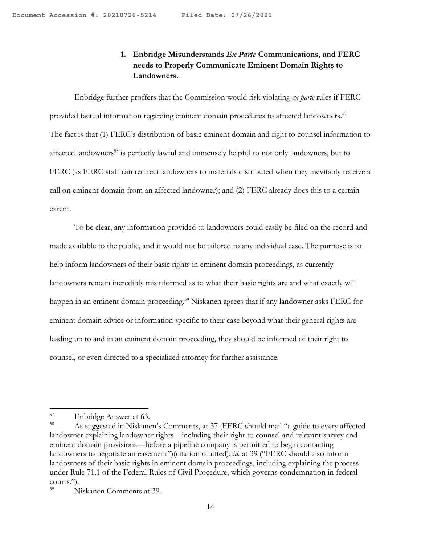# **1. Enbridge Misunderstands** *Ex Parte* **Communications, and FERC needs to Properly Communicate Eminent Domain Rights to Landowners.**

Enbridge further proffers that the Commission would risk violating *ex parte* rules if FERC provided factual information regarding eminent domain procedures to affected landowners.<sup>57</sup> The fact is that (1) FERC's distribution of basic eminent domain and right to counsel information to affected landowners<sup>58</sup> is perfectly lawful and immensely helpful to not only landowners, but to FERC (as FERC staff can redirect landowners to materials distributed when they inevitably receive a call on eminent domain from an affected landowner); and (2) FERC already does this to a certain extent.

To be clear, any information provided to landowners could easily be filed on the record and made available to the public, and it would not be tailored to any individual case. The purpose is to help inform landowners of their basic rights in eminent domain proceedings, as currently landowners remain incredibly misinformed as to what their basic rights are and what exactly will happen in an eminent domain proceeding.<sup>59</sup> Niskanen agrees that if any landowner asks FERC for eminent domain advice or information specific to their case beyond what their general rights are leading up to and in an eminent domain proceeding, they should be informed of their right to counsel, or even directed to a specialized attorney for further assistance.

<sup>57</sup> Enbridge Answer at 63.

<sup>58</sup> As suggested in Niskanen's Comments, at 37 (FERC should mail "a guide to every affected landowner explaining landowner rights—including their right to counsel and relevant survey and eminent domain provisions—before a pipeline company is permitted to begin contacting landowners to negotiate an easement")(citation omitted); *id.* at 39 ("FERC should also inform landowners of their basic rights in eminent domain proceedings, including explaining the process under Rule 71.1 of the Federal Rules of Civil Procedure, which governs condemnation in federal courts.").

<sup>59</sup> Niskanen Comments at 39.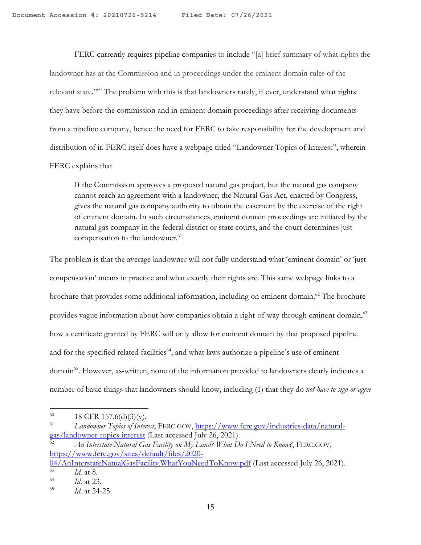FERC currently requires pipeline companies to include "[a] brief summary of what rights the landowner has at the Commission and in proceedings under the eminent domain rules of the relevant state."60 The problem with this is that landowners rarely, if ever, understand what rights they have before the commission and in eminent domain proceedings after receiving documents from a pipeline company, hence the need for FERC to take responsibility for the development and distribution of it. FERC itself does have a webpage titled "Landowner Topics of Interest", wherein FERC explains that

If the Commission approves a proposed natural gas project, but the natural gas company cannot reach an agreement with a landowner, the Natural Gas Act, enacted by Congress, gives the natural gas company authority to obtain the easement by the exercise of the right of eminent domain. In such circumstances, eminent domain proceedings are initiated by the natural gas company in the federal district or state courts, and the court determines just compensation to the landowner.<sup>61</sup>

The problem is that the average landowner will not fully understand what 'eminent domain' or 'just compensation' means in practice and what exactly their rights are. This same webpage links to a brochure that provides some additional information, including on eminent domain.<sup>62</sup> The brochure provides vague information about how companies obtain a right-of-way through eminent domain,<sup>63</sup> how a certificate granted by FERC will only allow for eminent domain by that proposed pipeline and for the specified related facilities<sup>64</sup>, and what laws authorize a pipeline's use of eminent domain<sup>65</sup>. However, as-written, none of the information provided to landowners clearly indicates a number of basic things that landowners should know, including (1) that they do *not have to sign or agree* 

 $\frac{04}{\text{AnInterestateNaturalGasFacility.WhatYouNeedToKnow.pdf}}$  (Last accessed July 26, 2021).  $\frac{63}{64}$  *Id.* at 8.

<sup>&</sup>lt;sup>60</sup> 18 CFR 157.6(d)(3)(v).<br><sup>61</sup> *L* anderman Tepics of Lyter

<sup>61</sup> *Landowner Topics of Interest*, FERC.GOV, https://www.ferc.gov/industries-data/naturalgas/landowner-topics-interest (Last accessed July 26, 2021).

<sup>62</sup> *An Interstate Natural Gas Facility on My Land? What Do I Need to Know?*, FERC.GOV, https://www.ferc.gov/sites/default/files/2020-

 $\frac{64}{65}$  *Id.* at 23.

<sup>65</sup> *Id*. at 24-25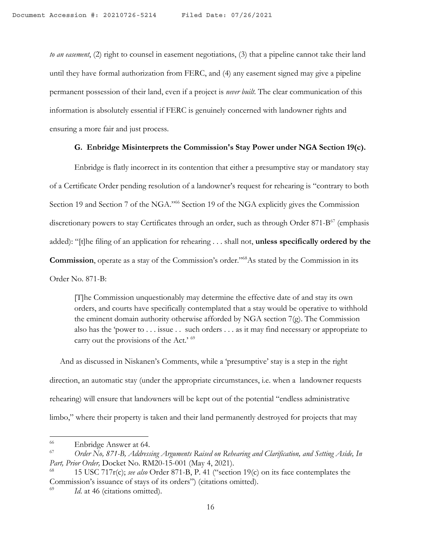*to an easement*, (2) right to counsel in easement negotiations, (3) that a pipeline cannot take their land until they have formal authorization from FERC, and (4) any easement signed may give a pipeline permanent possession of their land, even if a project is *never built*. The clear communication of this information is absolutely essential if FERC is genuinely concerned with landowner rights and ensuring a more fair and just process.

### **G. Enbridge Misinterprets the Commission's Stay Power under NGA Section 19(c).**

Enbridge is flatly incorrect in its contention that either a presumptive stay or mandatory stay of a Certificate Order pending resolution of a landowner's request for rehearing is "contrary to both Section 19 and Section 7 of the NGA."66 Section 19 of the NGA explicitly gives the Commission discretionary powers to stay Certificates through an order, such as through Order 871-B<sup>67</sup> (emphasis added): "[t]he filing of an application for rehearing . . . shall not, **unless specifically ordered by the Commission**, operate as a stay of the Commission's order."68As stated by the Commission in its Order No. 871-B:

[T]he Commission unquestionably may determine the effective date of and stay its own orders, and courts have specifically contemplated that a stay would be operative to withhold the eminent domain authority otherwise afforded by NGA section 7(g). The Commission also has the 'power to . . . issue . . such orders . . . as it may find necessary or appropriate to carry out the provisions of the Act.' <sup>69</sup>

 And as discussed in Niskanen's Comments, while a 'presumptive' stay is a step in the right direction, an automatic stay (under the appropriate circumstances, i.e. when a landowner requests rehearing) will ensure that landowners will be kept out of the potential "endless administrative limbo," where their property is taken and their land permanently destroyed for projects that may

<sup>66</sup> Enbridge Answer at 64.

<sup>67</sup> *Order No, 871-B, Addressing Arguments Raised on Rehearing and Clarification, and Setting Aside, In Part, Prior Order,* Docket No. RM20-15-001 (May 4, 2021).

<sup>68</sup> 15 USC 717r(c); *see also* Order 871-B, P. 41 ("section 19(c) on its face contemplates the Commission's issuance of stays of its orders") (citations omitted).

<sup>&</sup>lt;sup>69</sup> *Id.* at 46 (citations omitted).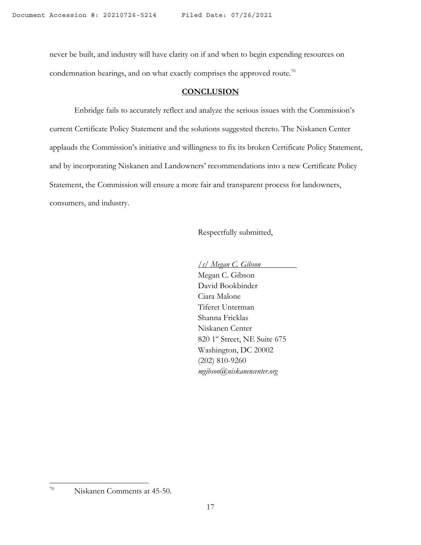never be built, and industry will have clarity on if and when to begin expending resources on condemnation hearings, and on what exactly comprises the approved route.<sup>70</sup>

### **CONCLUSION**

Enbridge fails to accurately reflect and analyze the serious issues with the Commission's current Certificate Policy Statement and the solutions suggested thereto. The Niskanen Center applauds the Commission's initiative and willingness to fix its broken Certificate Policy Statement, and by incorporating Niskanen and Landowners' recommendations into a new Certificate Policy Statement, the Commission will ensure a more fair and transparent process for landowners, consumers, and industry.

Respectfully submitted,

*/s/ Megan C. Gibson* Megan C. Gibson David Bookbinder Ciara Malone Tiferet Unterman Shanna Fricklas Niskanen Center 820 1<sup>st</sup> Street, NE Suite 675 Washington, DC 20002 (202) 810-9260 *mgibson@niskanencenter.org*

<sup>70</sup> Niskanen Comments at 45-50.